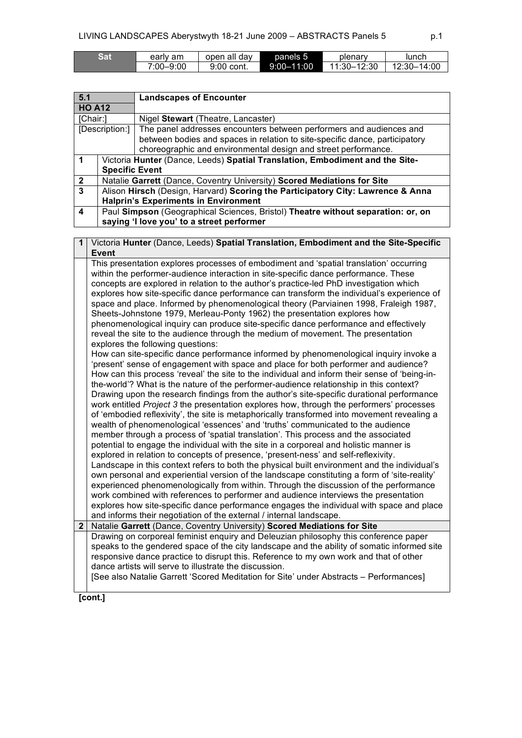| Sat | early am      | open all dav | panels 5       | plenary     | lunch       |
|-----|---------------|--------------|----------------|-------------|-------------|
|     | $7:00 - 9:00$ | 9:00 cont.   | $9:00 - 11:00$ | 11:30-12:30 | 12:30-14:00 |

| 5.1                                            |                                           | <b>Landscapes of Encounter</b>                                                   |  |  |
|------------------------------------------------|-------------------------------------------|----------------------------------------------------------------------------------|--|--|
| <b>HO A12</b>                                  |                                           |                                                                                  |  |  |
| [Chair:]<br>Nigel Stewart (Theatre, Lancaster) |                                           |                                                                                  |  |  |
|                                                | [Description:]                            | The panel addresses encounters between performers and audiences and              |  |  |
|                                                |                                           | between bodies and spaces in relation to site-specific dance, participatory      |  |  |
|                                                |                                           | choreographic and environmental design and street performance.                   |  |  |
|                                                |                                           | Victoria Hunter (Dance, Leeds) Spatial Translation, Embodiment and the Site-     |  |  |
|                                                |                                           | <b>Specific Event</b>                                                            |  |  |
| $\overline{2}$                                 |                                           | Natalie Garrett (Dance, Coventry University) Scored Mediations for Site          |  |  |
| $\mathbf{3}$                                   |                                           | Alison Hirsch (Design, Harvard) Scoring the Participatory City: Lawrence & Anna  |  |  |
|                                                |                                           | <b>Halprin's Experiments in Environment</b>                                      |  |  |
| 4                                              |                                           | Paul Simpson (Geographical Sciences, Bristol) Theatre without separation: or, on |  |  |
|                                                | saying 'I love you' to a street performer |                                                                                  |  |  |

| 1              | Victoria Hunter (Dance, Leeds) Spatial Translation, Embodiment and the Site-Specific<br><b>Event</b>                                                                                                          |
|----------------|---------------------------------------------------------------------------------------------------------------------------------------------------------------------------------------------------------------|
|                | This presentation explores processes of embodiment and 'spatial translation' occurring<br>within the performer-audience interaction in site-specific dance performance. These                                 |
|                | concepts are explored in relation to the author's practice-led PhD investigation which<br>explores how site-specific dance performance can transform the individual's experience of                           |
|                | space and place. Informed by phenomenological theory (Parviainen 1998, Fraleigh 1987,<br>Sheets-Johnstone 1979, Merleau-Ponty 1962) the presentation explores how                                             |
|                | phenomenological inquiry can produce site-specific dance performance and effectively<br>reveal the site to the audience through the medium of movement. The presentation<br>explores the following questions: |
|                | How can site-specific dance performance informed by phenomenological inquiry invoke a                                                                                                                         |
|                | 'present' sense of engagement with space and place for both performer and audience?<br>How can this process 'reveal' the site to the individual and inform their sense of 'being-in-                          |
|                | the-world'? What is the nature of the performer-audience relationship in this context?                                                                                                                        |
|                | Drawing upon the research findings from the author's site-specific durational performance                                                                                                                     |
|                | work entitled Project 3 the presentation explores how, through the performers' processes<br>of 'embodied reflexivity', the site is metaphorically transformed into movement revealing a                       |
|                | wealth of phenomenological 'essences' and 'truths' communicated to the audience                                                                                                                               |
|                | member through a process of 'spatial translation'. This process and the associated<br>potential to engage the individual with the site in a corporeal and holistic manner is                                  |
|                | explored in relation to concepts of presence, 'present-ness' and self-reflexivity.                                                                                                                            |
|                | Landscape in this context refers to both the physical built environment and the individual's                                                                                                                  |
|                | own personal and experiential version of the landscape constituting a form of 'site-reality'<br>experienced phenomenologically from within. Through the discussion of the performance                         |
|                | work combined with references to performer and audience interviews the presentation                                                                                                                           |
|                | explores how site-specific dance performance engages the individual with space and place                                                                                                                      |
| 2 <sub>1</sub> | and informs their negotiation of the external / internal landscape.<br>Natalie Garrett (Dance, Coventry University) Scored Mediations for Site                                                                |
|                | Drawing on corporeal feminist enquiry and Deleuzian philosophy this conference paper                                                                                                                          |
|                | speaks to the gendered space of the city landscape and the ability of somatic informed site                                                                                                                   |
|                | responsive dance practice to disrupt this. Reference to my own work and that of other                                                                                                                         |
|                | dance artists will serve to illustrate the discussion.                                                                                                                                                        |
|                | [See also Natalie Garrett 'Scored Meditation for Site' under Abstracts - Performances]                                                                                                                        |

**[cont.]**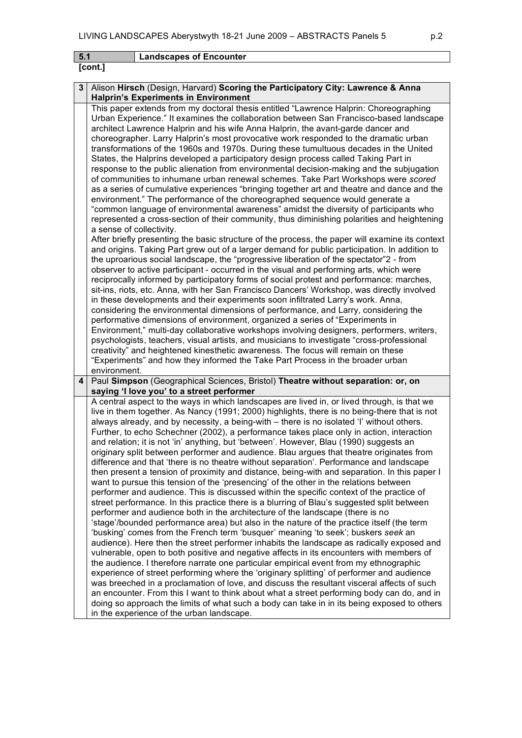|     | LIVING CANDOONI LO ADGIYSIWYIII 10-2 I JUIN 2009 - ADO HANOTO I UNGS S<br>μ.∠                                                                                                                                                                                                                                                                                                                                                                                                                                                                                                                                                                                                                                                                                                                                                                                                                                                                                                                                                                                                                                                                                                                                                                                                                                                                                                                                                                                                                                                                                                                                                                                                                                                                                                                                                                                                                                                                                                                                                                                                                                                                                                                                                                                                                                                                                                                |
|-----|----------------------------------------------------------------------------------------------------------------------------------------------------------------------------------------------------------------------------------------------------------------------------------------------------------------------------------------------------------------------------------------------------------------------------------------------------------------------------------------------------------------------------------------------------------------------------------------------------------------------------------------------------------------------------------------------------------------------------------------------------------------------------------------------------------------------------------------------------------------------------------------------------------------------------------------------------------------------------------------------------------------------------------------------------------------------------------------------------------------------------------------------------------------------------------------------------------------------------------------------------------------------------------------------------------------------------------------------------------------------------------------------------------------------------------------------------------------------------------------------------------------------------------------------------------------------------------------------------------------------------------------------------------------------------------------------------------------------------------------------------------------------------------------------------------------------------------------------------------------------------------------------------------------------------------------------------------------------------------------------------------------------------------------------------------------------------------------------------------------------------------------------------------------------------------------------------------------------------------------------------------------------------------------------------------------------------------------------------------------------------------------------|
| 5.1 | <b>Landscapes of Encounter</b>                                                                                                                                                                                                                                                                                                                                                                                                                                                                                                                                                                                                                                                                                                                                                                                                                                                                                                                                                                                                                                                                                                                                                                                                                                                                                                                                                                                                                                                                                                                                                                                                                                                                                                                                                                                                                                                                                                                                                                                                                                                                                                                                                                                                                                                                                                                                                               |
|     | [cont.]                                                                                                                                                                                                                                                                                                                                                                                                                                                                                                                                                                                                                                                                                                                                                                                                                                                                                                                                                                                                                                                                                                                                                                                                                                                                                                                                                                                                                                                                                                                                                                                                                                                                                                                                                                                                                                                                                                                                                                                                                                                                                                                                                                                                                                                                                                                                                                                      |
|     |                                                                                                                                                                                                                                                                                                                                                                                                                                                                                                                                                                                                                                                                                                                                                                                                                                                                                                                                                                                                                                                                                                                                                                                                                                                                                                                                                                                                                                                                                                                                                                                                                                                                                                                                                                                                                                                                                                                                                                                                                                                                                                                                                                                                                                                                                                                                                                                              |
| 3   | Alison Hirsch (Design, Harvard) Scoring the Participatory City: Lawrence & Anna                                                                                                                                                                                                                                                                                                                                                                                                                                                                                                                                                                                                                                                                                                                                                                                                                                                                                                                                                                                                                                                                                                                                                                                                                                                                                                                                                                                                                                                                                                                                                                                                                                                                                                                                                                                                                                                                                                                                                                                                                                                                                                                                                                                                                                                                                                              |
|     | <b>Halprin's Experiments in Environment</b><br>This paper extends from my doctoral thesis entitled "Lawrence Halprin: Choreographing<br>Urban Experience." It examines the collaboration between San Francisco-based landscape<br>architect Lawrence Halprin and his wife Anna Halprin, the avant-garde dancer and<br>choreographer. Larry Halprin's most provocative work responded to the dramatic urban<br>transformations of the 1960s and 1970s. During these tumultuous decades in the United<br>States, the Halprins developed a participatory design process called Taking Part in<br>response to the public alienation from environmental decision-making and the subjugation<br>of communities to inhumane urban renewal schemes. Take Part Workshops were scored<br>as a series of cumulative experiences "bringing together art and theatre and dance and the<br>environment." The performance of the choreographed sequence would generate a<br>"common language of environmental awareness" amidst the diversity of participants who<br>represented a cross-section of their community, thus diminishing polarities and heightening<br>a sense of collectivity.<br>After briefly presenting the basic structure of the process, the paper will examine its context<br>and origins. Taking Part grew out of a larger demand for public participation. In addition to<br>the uproarious social landscape, the "progressive liberation of the spectator"2 - from<br>observer to active participant - occurred in the visual and performing arts, which were<br>reciprocally informed by participatory forms of social protest and performance: marches,<br>sit-ins, riots, etc. Anna, with her San Francisco Dancers' Workshop, was directly involved<br>in these developments and their experiments soon infiltrated Larry's work. Anna,<br>considering the environmental dimensions of performance, and Larry, considering the<br>performative dimensions of environment, organized a series of "Experiments in<br>Environment," multi-day collaborative workshops involving designers, performers, writers,<br>psychologists, teachers, visual artists, and musicians to investigate "cross-professional<br>creativity" and heightened kinesthetic awareness. The focus will remain on these<br>"Experiments" and how they informed the Take Part Process in the broader urban |
|     | environment.                                                                                                                                                                                                                                                                                                                                                                                                                                                                                                                                                                                                                                                                                                                                                                                                                                                                                                                                                                                                                                                                                                                                                                                                                                                                                                                                                                                                                                                                                                                                                                                                                                                                                                                                                                                                                                                                                                                                                                                                                                                                                                                                                                                                                                                                                                                                                                                 |
| 4   | Paul Simpson (Geographical Sciences, Bristol) Theatre without separation: or, on                                                                                                                                                                                                                                                                                                                                                                                                                                                                                                                                                                                                                                                                                                                                                                                                                                                                                                                                                                                                                                                                                                                                                                                                                                                                                                                                                                                                                                                                                                                                                                                                                                                                                                                                                                                                                                                                                                                                                                                                                                                                                                                                                                                                                                                                                                             |
|     | saying 'I love you' to a street performer<br>A central aspect to the ways in which landscapes are lived in, or lived through, is that we<br>live in them together. As Nancy (1991; 2000) highlights, there is no being-there that is not<br>always already, and by necessity, a being-with - there is no isolated 'I' without others.<br>Further, to echo Schechner (2002), a performance takes place only in action, interaction<br>and relation; it is not 'in' anything, but 'between'. However, Blau (1990) suggests an<br>originary split between performer and audience. Blau argues that theatre originates from<br>difference and that 'there is no theatre without separation'. Performance and landscape<br>then present a tension of proximity and distance, being-with and separation. In this paper I<br>want to pursue this tension of the 'presencing' of the other in the relations between<br>performer and audience. This is discussed within the specific context of the practice of<br>street performance. In this practice there is a blurring of Blau's suggested split between<br>performer and audience both in the architecture of the landscape (there is no<br>'stage'/bounded performance area) but also in the nature of the practice itself (the term<br>'busking' comes from the French term 'busquer' meaning 'to seek'; buskers seek an<br>audience). Here then the street performer inhabits the landscape as radically exposed and<br>vulnerable, open to both positive and negative affects in its encounters with members of<br>the audience. I therefore narrate one particular empirical event from my ethnographic                                                                                                                                                                                                                                                                                                                                                                                                                                                                                                                                                                                                                                                                                                                                   |

experience of street performing where the 'originary splitting' of performer and audience was breeched in a proclamation of love, and discuss the resultant visceral affects of such an encounter. From this I want to think about what a street performing body can do, and in doing so approach the limits of what such a body can take in in its being exposed to others

in the experience of the urban landscape.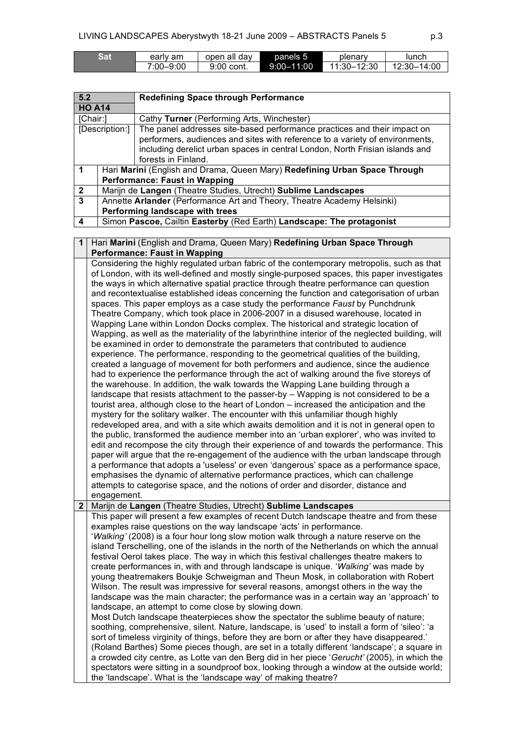| Sat | earlv am  | open all dav | panels 5       | plenary     | lunch       |
|-----|-----------|--------------|----------------|-------------|-------------|
|     | 7:00–9:00 | 9:00 cont.   | $9:00 - 11:00$ | 11:30–12:30 | 12:30-14:00 |

| 5.2                                                    |                                                                         | <b>Redefining Space through Performance</b>                                  |  |  |
|--------------------------------------------------------|-------------------------------------------------------------------------|------------------------------------------------------------------------------|--|--|
| <b>HO A14</b>                                          |                                                                         |                                                                              |  |  |
| [Chair:]<br>Cathy Turner (Performing Arts, Winchester) |                                                                         |                                                                              |  |  |
|                                                        | [Description:]                                                          | The panel addresses site-based performance practices and their impact on     |  |  |
|                                                        |                                                                         | performers, audiences and sites with reference to a variety of environments, |  |  |
|                                                        |                                                                         | including derelict urban spaces in central London, North Frisian islands and |  |  |
|                                                        |                                                                         | forests in Finland.                                                          |  |  |
| -1                                                     |                                                                         | Hari Marini (English and Drama, Queen Mary) Redefining Urban Space Through   |  |  |
|                                                        | <b>Performance: Faust in Wapping</b>                                    |                                                                              |  |  |
| $\overline{2}$                                         |                                                                         | Marijn de Langen (Theatre Studies, Utrecht) Sublime Landscapes               |  |  |
| $\mathbf{3}$                                           | Annette Arlander (Performance Art and Theory, Theatre Academy Helsinki) |                                                                              |  |  |
|                                                        | Performing landscape with trees                                         |                                                                              |  |  |
| 4                                                      | Simon Pascoe, Cailtin Easterby (Red Earth) Landscape: The protagonist   |                                                                              |  |  |

**1** Hari **Marini** (English and Drama, Queen Mary) **Redefining Urban Space Through Performance: Faust in Wapping**

Considering the highly regulated urban fabric of the contemporary metropolis, such as that of London, with its well-defined and mostly single-purposed spaces, this paper investigates the ways in which alternative spatial practice through theatre performance can question and recontextualise established ideas concerning the function and categorisation of urban spaces. This paper employs as a case study the performance *Faust* by Punchdrunk Theatre Company, which took place in 2006-2007 in a disused warehouse, located in Wapping Lane within London Docks complex. The historical and strategic location of Wapping, as well as the materiality of the labyrinthine interior of the neglected building, will be examined in order to demonstrate the parameters that contributed to audience experience. The performance, responding to the geometrical qualities of the building, created a language of movement for both performers and audience, since the audience had to experience the performance through the act of walking around the five storeys of the warehouse. In addition, the walk towards the Wapping Lane building through a landscape that resists attachment to the passer-by – Wapping is not considered to be a tourist area, although close to the heart of London – increased the anticipation and the mystery for the solitary walker. The encounter with this unfamiliar though highly redeveloped area, and with a site which awaits demolition and it is not in general open to the public, transformed the audience member into an 'urban explorer', who was invited to edit and recompose the city through their experience of and towards the performance. This paper will argue that the re-engagement of the audience with the urban landscape through a performance that adopts a 'useless' or even 'dangerous' space as a performance space, emphasises the dynamic of alternative performance practices, which can challenge attempts to categorise space, and the notions of order and disorder, distance and engagement.

**2** Marijn de **Langen** (Theatre Studies, Utrecht) **Sublime Landscapes**

the 'landscape'. What is the 'landscape way' of making theatre?

This paper will present a few examples of recent Dutch landscape theatre and from these examples raise questions on the way landscape 'acts' in performance. '*Walking'* (2008) is a four hour long slow motion walk through a nature reserve on the island Terschelling, one of the islands in the north of the Netherlands on which the annual festival Oerol takes place. The way in which this festival challenges theatre makers to create performances in, with and through landscape is unique. '*Walking'* was made by young theatremakers Boukje Schweigman and Theun Mosk, in collaboration with Robert Wilson. The result was impressive for several reasons, amongst others in the way the landscape was the main character; the performance was in a certain way an 'approach' to landscape, an attempt to come close by slowing down. Most Dutch landscape theaterpieces show the spectator the sublime beauty of nature; soothing, comprehensive, silent. Nature, landscape, is 'used' to install a form of 'sileo': 'a sort of timeless virginity of things, before they are born or after they have disappeared.' (Roland Barthes) Some pieces though, are set in a totally different 'landscape'; a square in a crowded city centre, as Lotte van den Berg did in her piece '*Gerucht'* (2005), in which the

spectators were sitting in a soundproof box, looking through a window at the outside world;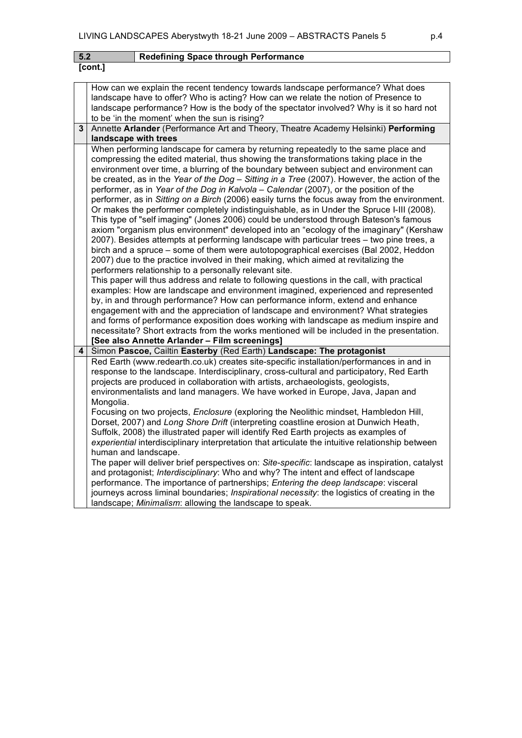| 5.2 |                                                                                                                                                                                                                                                                                                                                                                                                                                                                                                                                                                                                                                                                                                                                                                                                                                                                                                                                                                                                                                                                                                                                                                                                                                                                                                                                                                                                                                                                                                                                                                                                                                          | <b>Redefining Space through Performance</b>                                                                                                                                                                                                                                                                                                                                                                                                                                                                                                                                                                                                                                                                                                                                                                                                                                                                                                                                                                                                                                                                                                                                                                          |  |  |  |
|-----|------------------------------------------------------------------------------------------------------------------------------------------------------------------------------------------------------------------------------------------------------------------------------------------------------------------------------------------------------------------------------------------------------------------------------------------------------------------------------------------------------------------------------------------------------------------------------------------------------------------------------------------------------------------------------------------------------------------------------------------------------------------------------------------------------------------------------------------------------------------------------------------------------------------------------------------------------------------------------------------------------------------------------------------------------------------------------------------------------------------------------------------------------------------------------------------------------------------------------------------------------------------------------------------------------------------------------------------------------------------------------------------------------------------------------------------------------------------------------------------------------------------------------------------------------------------------------------------------------------------------------------------|----------------------------------------------------------------------------------------------------------------------------------------------------------------------------------------------------------------------------------------------------------------------------------------------------------------------------------------------------------------------------------------------------------------------------------------------------------------------------------------------------------------------------------------------------------------------------------------------------------------------------------------------------------------------------------------------------------------------------------------------------------------------------------------------------------------------------------------------------------------------------------------------------------------------------------------------------------------------------------------------------------------------------------------------------------------------------------------------------------------------------------------------------------------------------------------------------------------------|--|--|--|
|     | [cont.]                                                                                                                                                                                                                                                                                                                                                                                                                                                                                                                                                                                                                                                                                                                                                                                                                                                                                                                                                                                                                                                                                                                                                                                                                                                                                                                                                                                                                                                                                                                                                                                                                                  |                                                                                                                                                                                                                                                                                                                                                                                                                                                                                                                                                                                                                                                                                                                                                                                                                                                                                                                                                                                                                                                                                                                                                                                                                      |  |  |  |
|     |                                                                                                                                                                                                                                                                                                                                                                                                                                                                                                                                                                                                                                                                                                                                                                                                                                                                                                                                                                                                                                                                                                                                                                                                                                                                                                                                                                                                                                                                                                                                                                                                                                          | How can we explain the recent tendency towards landscape performance? What does<br>landscape have to offer? Who is acting? How can we relate the notion of Presence to<br>landscape performance? How is the body of the spectator involved? Why is it so hard not<br>to be 'in the moment' when the sun is rising?                                                                                                                                                                                                                                                                                                                                                                                                                                                                                                                                                                                                                                                                                                                                                                                                                                                                                                   |  |  |  |
| 3   |                                                                                                                                                                                                                                                                                                                                                                                                                                                                                                                                                                                                                                                                                                                                                                                                                                                                                                                                                                                                                                                                                                                                                                                                                                                                                                                                                                                                                                                                                                                                                                                                                                          | Annette Arlander (Performance Art and Theory, Theatre Academy Helsinki) Performing                                                                                                                                                                                                                                                                                                                                                                                                                                                                                                                                                                                                                                                                                                                                                                                                                                                                                                                                                                                                                                                                                                                                   |  |  |  |
|     | landscape with trees                                                                                                                                                                                                                                                                                                                                                                                                                                                                                                                                                                                                                                                                                                                                                                                                                                                                                                                                                                                                                                                                                                                                                                                                                                                                                                                                                                                                                                                                                                                                                                                                                     |                                                                                                                                                                                                                                                                                                                                                                                                                                                                                                                                                                                                                                                                                                                                                                                                                                                                                                                                                                                                                                                                                                                                                                                                                      |  |  |  |
|     | When performing landscape for camera by returning repeatedly to the same place and<br>compressing the edited material, thus showing the transformations taking place in the<br>environment over time, a blurring of the boundary between subject and environment can<br>be created, as in the Year of the Dog - Sitting in a Tree (2007). However, the action of the<br>performer, as in Year of the Dog in Kalvola - Calendar (2007), or the position of the<br>performer, as in Sitting on a Birch (2006) easily turns the focus away from the environment.<br>Or makes the performer completely indistinguishable, as in Under the Spruce I-III (2008).<br>This type of "self imaging" (Jones 2006) could be understood through Bateson's famous<br>axiom "organism plus environment" developed into an "ecology of the imaginary" (Kershaw<br>2007). Besides attempts at performing landscape with particular trees - two pine trees, a<br>birch and a spruce – some of them were autotopographical exercises (Bal 2002, Heddon<br>2007) due to the practice involved in their making, which aimed at revitalizing the<br>performers relationship to a personally relevant site.<br>This paper will thus address and relate to following questions in the call, with practical<br>examples: How are landscape and environment imagined, experienced and represented<br>by, in and through performance? How can performance inform, extend and enhance<br>engagement with and the appreciation of landscape and environment? What strategies<br>and forms of performance exposition does working with landscape as medium inspire and |                                                                                                                                                                                                                                                                                                                                                                                                                                                                                                                                                                                                                                                                                                                                                                                                                                                                                                                                                                                                                                                                                                                                                                                                                      |  |  |  |
| 4   |                                                                                                                                                                                                                                                                                                                                                                                                                                                                                                                                                                                                                                                                                                                                                                                                                                                                                                                                                                                                                                                                                                                                                                                                                                                                                                                                                                                                                                                                                                                                                                                                                                          | [See also Annette Arlander - Film screenings]<br>Simon Pascoe, Cailtin Easterby (Red Earth) Landscape: The protagonist                                                                                                                                                                                                                                                                                                                                                                                                                                                                                                                                                                                                                                                                                                                                                                                                                                                                                                                                                                                                                                                                                               |  |  |  |
|     | Mongolia.                                                                                                                                                                                                                                                                                                                                                                                                                                                                                                                                                                                                                                                                                                                                                                                                                                                                                                                                                                                                                                                                                                                                                                                                                                                                                                                                                                                                                                                                                                                                                                                                                                | Red Earth (www.redearth.co.uk) creates site-specific installation/performances in and in<br>response to the landscape. Interdisciplinary, cross-cultural and participatory, Red Earth<br>projects are produced in collaboration with artists, archaeologists, geologists,<br>environmentalists and land managers. We have worked in Europe, Java, Japan and<br>Focusing on two projects, Enclosure (exploring the Neolithic mindset, Hambledon Hill,<br>Dorset, 2007) and Long Shore Drift (interpreting coastline erosion at Dunwich Heath,<br>Suffolk, 2008) the illustrated paper will identify Red Earth projects as examples of<br>experiential interdisciplinary interpretation that articulate the intuitive relationship between<br>human and landscape.<br>The paper will deliver brief perspectives on: Site-specific: landscape as inspiration, catalyst<br>and protagonist; Interdisciplinary: Who and why? The intent and effect of landscape<br>performance. The importance of partnerships; Entering the deep landscape: visceral<br>journeys across liminal boundaries; <i>Inspirational necessity</i> : the logistics of creating in the<br>landscape; Minimalism: allowing the landscape to speak. |  |  |  |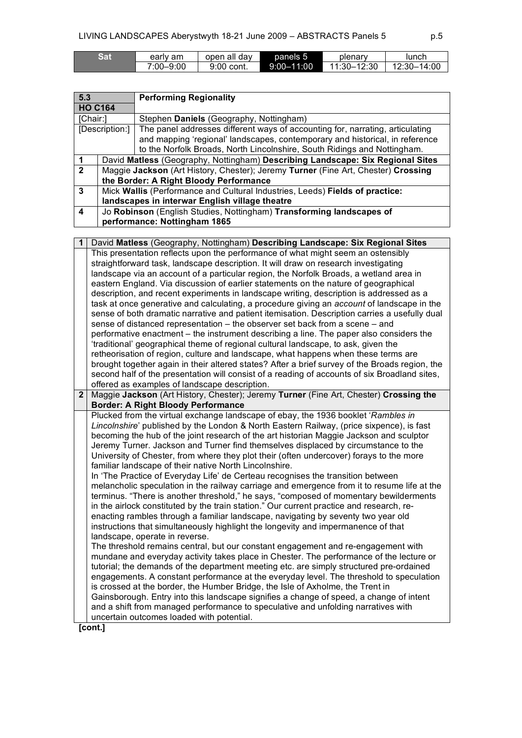| Sat | earlv am      | open all dav | panels 5       | plenary     | lunch       |
|-----|---------------|--------------|----------------|-------------|-------------|
|     | $7:00 - 9:00$ | 9:00 cont.   | $9:00 - 11:00$ | 11:30–12:30 | 12:30-14:00 |

| 5.3                                                 |                                                                              | <b>Performing Regionality</b>                                                     |  |
|-----------------------------------------------------|------------------------------------------------------------------------------|-----------------------------------------------------------------------------------|--|
| <b>HO C164</b>                                      |                                                                              |                                                                                   |  |
| [Chair:]<br>Stephen Daniels (Geography, Nottingham) |                                                                              |                                                                                   |  |
|                                                     | [Description:]                                                               | The panel addresses different ways of accounting for, narrating, articulating     |  |
|                                                     |                                                                              | and mapping 'regional' landscapes, contemporary and historical, in reference      |  |
|                                                     |                                                                              | to the Norfolk Broads, North Lincolnshire, South Ridings and Nottingham.          |  |
| $\mathbf 1$                                         |                                                                              | David Matless (Geography, Nottingham) Describing Landscape: Six Regional Sites    |  |
| $\overline{2}$                                      |                                                                              | Maggie Jackson (Art History, Chester); Jeremy Turner (Fine Art, Chester) Crossing |  |
|                                                     | the Border: A Right Bloody Performance                                       |                                                                                   |  |
| 3                                                   | Mick Wallis (Performance and Cultural Industries, Leeds) Fields of practice: |                                                                                   |  |
|                                                     | landscapes in interwar English village theatre                               |                                                                                   |  |
| 4                                                   | Jo Robinson (English Studies, Nottingham) Transforming landscapes of         |                                                                                   |  |
|                                                     | performance: Nottingham 1865                                                 |                                                                                   |  |

|                | David Matless (Geography, Nottingham) Describing Landscape: Six Regional Sites                    |
|----------------|---------------------------------------------------------------------------------------------------|
|                | This presentation reflects upon the performance of what might seem an ostensibly                  |
|                | straightforward task, landscape description. It will draw on research investigating               |
|                | landscape via an account of a particular region, the Norfolk Broads, a wetland area in            |
|                | eastern England. Via discussion of earlier statements on the nature of geographical               |
|                | description, and recent experiments in landscape writing, description is addressed as a           |
|                | task at once generative and calculating, a procedure giving an <i>account</i> of landscape in the |
|                | sense of both dramatic narrative and patient itemisation. Description carries a usefully dual     |
|                | sense of distanced representation - the observer set back from a scene - and                      |
|                | performative enactment - the instrument describing a line. The paper also considers the           |
|                | 'traditional' geographical theme of regional cultural landscape, to ask, given the                |
|                | retheorisation of region, culture and landscape, what happens when these terms are                |
|                | brought together again in their altered states? After a brief survey of the Broads region, the    |
|                | second half of the presentation will consist of a reading of accounts of six Broadland sites,     |
|                | offered as examples of landscape description.                                                     |
| $\overline{2}$ | Maggie Jackson (Art History, Chester); Jeremy Turner (Fine Art, Chester) Crossing the             |
|                | <b>Border: A Right Bloody Performance</b>                                                         |
|                | Plucked from the virtual exchange landscape of ebay, the 1936 booklet 'Rambles in                 |
|                | Lincolnshire' published by the London & North Eastern Railway, (price sixpence), is fast          |
|                | becoming the hub of the joint research of the art historian Maggie Jackson and sculptor           |
|                | Jeremy Turner. Jackson and Turner find themselves displaced by circumstance to the                |
|                | University of Chester, from where they plot their (often undercover) forays to the more           |
|                | familiar landscape of their native North Lincolnshire.                                            |
|                | In 'The Practice of Everyday Life' de Certeau recognises the transition between                   |
|                | melancholic speculation in the railway carriage and emergence from it to resume life at the       |
|                | terminus. "There is another threshold," he says, "composed of momentary bewilderments             |
|                | in the airlock constituted by the train station." Our current practice and research, re-          |
|                | enacting rambles through a familiar landscape, navigating by seventy two year old                 |
|                | instructions that simultaneously highlight the longevity and impermanence of that                 |
|                | landscape, operate in reverse.                                                                    |
|                | The threshold remains central, but our constant engagement and re-engagement with                 |
|                | mundane and everyday activity takes place in Chester. The performance of the lecture or           |
|                | tutorial; the demands of the department meeting etc. are simply structured pre-ordained           |
|                | engagements. A constant performance at the everyday level. The threshold to speculation           |
|                | is crossed at the border, the Humber Bridge, the Isle of Axholme, the Trent in                    |
|                | Gainsborough. Entry into this landscape signifies a change of speed, a change of intent           |
|                | and a shift from managed performance to speculative and unfolding narratives with                 |
|                | uncertain outcomes loaded with potential.                                                         |
|                | [cont.]                                                                                           |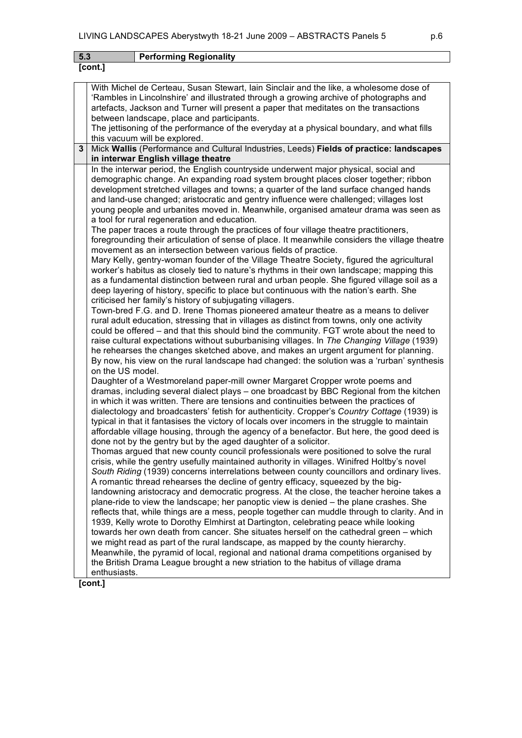**[cont.]**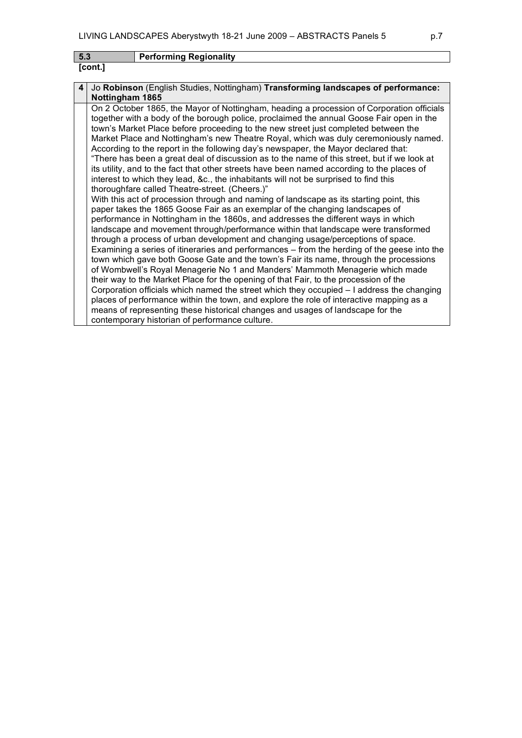| -5.3    | <b>Performing Regionality</b> |
|---------|-------------------------------|
| [cont.] |                               |

| 4 | Jo Robinson (English Studies, Nottingham) Transforming landscapes of performance:           |
|---|---------------------------------------------------------------------------------------------|
|   | Nottingham 1865                                                                             |
|   | On 2 October 1865, the Mayor of Nottingham, heading a procession of Corporation officials   |
|   | together with a body of the borough police, proclaimed the annual Goose Fair open in the    |
|   | town's Market Place before proceeding to the new street just completed between the          |
|   | Market Place and Nottingham's new Theatre Royal, which was duly ceremoniously named.        |
|   | According to the report in the following day's newspaper, the Mayor declared that:          |
|   | "There has been a great deal of discussion as to the name of this street, but if we look at |
|   | its utility, and to the fact that other streets have been named according to the places of  |
|   | interest to which they lead, &c., the inhabitants will not be surprised to find this        |
|   | thoroughfare called Theatre-street. (Cheers.)"                                              |
|   | With this act of procession through and naming of landscape as its starting point, this     |
|   | paper takes the 1865 Goose Fair as an exemplar of the changing landscapes of                |
|   | performance in Nottingham in the 1860s, and addresses the different ways in which           |
|   | landscape and movement through/performance within that landscape were transformed           |
|   | through a process of urban development and changing usage/perceptions of space.             |
|   | Examining a series of itineraries and performances – from the herding of the geese into the |
|   | town which gave both Goose Gate and the town's Fair its name, through the processions       |
|   | of Wombwell's Royal Menagerie No 1 and Manders' Mammoth Menagerie which made                |
|   | their way to the Market Place for the opening of that Fair, to the procession of the        |
|   | Corporation officials which named the street which they occupied - I address the changing   |
|   | places of performance within the town, and explore the role of interactive mapping as a     |
|   | means of representing these historical changes and usages of landscape for the              |
|   | contemporary historian of performance culture.                                              |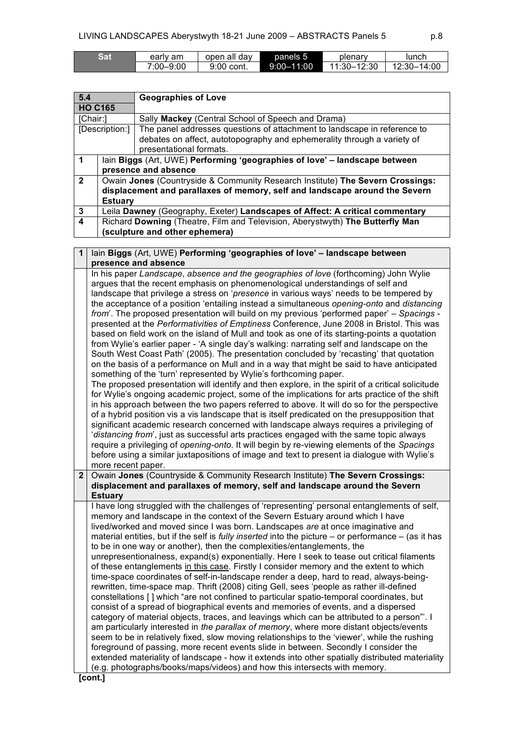| Sat | early am  | open all dav | panels 5       | plenary     | lunch       |
|-----|-----------|--------------|----------------|-------------|-------------|
|     | 7:00–9:00 | 9:00 cont.   | $9:00 - 11:00$ | 11:30-12:30 | 12:30-14:00 |

| 5.4            |                                                                                | <b>Geographies of Love</b>                                                    |  |  |
|----------------|--------------------------------------------------------------------------------|-------------------------------------------------------------------------------|--|--|
| <b>HO C165</b> |                                                                                |                                                                               |  |  |
| [Chair:]       |                                                                                | Sally Mackey (Central School of Speech and Drama)                             |  |  |
| [Description:] |                                                                                | The panel addresses questions of attachment to landscape in reference to      |  |  |
|                |                                                                                | debates on affect, autotopography and ephemerality through a variety of       |  |  |
|                |                                                                                | presentational formats.                                                       |  |  |
|                | lain Biggs (Art, UWE) Performing 'geographies of love' - landscape between     |                                                                               |  |  |
|                |                                                                                | presence and absence                                                          |  |  |
| $\overline{2}$ | Owain Jones (Countryside & Community Research Institute) The Severn Crossings: |                                                                               |  |  |
|                | displacement and parallaxes of memory, self and landscape around the Severn    |                                                                               |  |  |
|                | <b>Estuary</b>                                                                 |                                                                               |  |  |
| 3              |                                                                                | Leila Dawney (Geography, Exeter) Landscapes of Affect: A critical commentary  |  |  |
| 4              |                                                                                | Richard Downing (Theatre, Film and Television, Aberystwyth) The Butterfly Man |  |  |
|                |                                                                                | (sculpture and other ephemera)                                                |  |  |

| $\mathbf 1$    | lain Biggs (Art, UWE) Performing 'geographies of love' - landscape between                                                                                                                                                                                                                                                                                                                                                                                                                                                                                                                                                                                                                                                                                                                                                                                                                                                                                                                                                                                                                                                                                                                                                                                                                                                                                                                                                                                                                                                                                                                                                                                                                                                                                                                                   |
|----------------|--------------------------------------------------------------------------------------------------------------------------------------------------------------------------------------------------------------------------------------------------------------------------------------------------------------------------------------------------------------------------------------------------------------------------------------------------------------------------------------------------------------------------------------------------------------------------------------------------------------------------------------------------------------------------------------------------------------------------------------------------------------------------------------------------------------------------------------------------------------------------------------------------------------------------------------------------------------------------------------------------------------------------------------------------------------------------------------------------------------------------------------------------------------------------------------------------------------------------------------------------------------------------------------------------------------------------------------------------------------------------------------------------------------------------------------------------------------------------------------------------------------------------------------------------------------------------------------------------------------------------------------------------------------------------------------------------------------------------------------------------------------------------------------------------------------|
|                | presence and absence                                                                                                                                                                                                                                                                                                                                                                                                                                                                                                                                                                                                                                                                                                                                                                                                                                                                                                                                                                                                                                                                                                                                                                                                                                                                                                                                                                                                                                                                                                                                                                                                                                                                                                                                                                                         |
|                | In his paper Landscape, absence and the geographies of love (forthcoming) John Wylie<br>argues that the recent emphasis on phenomenological understandings of self and<br>landscape that privilege a stress on 'presence in various ways' needs to be tempered by<br>the acceptance of a position 'entailing instead a simultaneous opening-onto and distancing<br>from'. The proposed presentation will build on my previous 'performed paper' - Spacings -<br>presented at the Performativities of Emptiness Conference, June 2008 in Bristol. This was<br>based on field work on the island of Mull and took as one of its starting-points a quotation<br>from Wylie's earlier paper - 'A single day's walking: narrating self and landscape on the<br>South West Coast Path' (2005). The presentation concluded by 'recasting' that quotation<br>on the basis of a performance on Mull and in a way that might be said to have anticipated<br>something of the 'turn' represented by Wylie's forthcoming paper.<br>The proposed presentation will identify and then explore, in the spirit of a critical solicitude<br>for Wylie's ongoing academic project, some of the implications for arts practice of the shift<br>in his approach between the two papers referred to above. It will do so for the perspective<br>of a hybrid position vis a vis landscape that is itself predicated on the presupposition that<br>significant academic research concerned with landscape always requires a privileging of<br>'distancing from', just as successful arts practices engaged with the same topic always<br>require a privileging of opening-onto. It will begin by re-viewing elements of the Spacings<br>before using a similar juxtapositions of image and text to present ia dialogue with Wylie's |
|                |                                                                                                                                                                                                                                                                                                                                                                                                                                                                                                                                                                                                                                                                                                                                                                                                                                                                                                                                                                                                                                                                                                                                                                                                                                                                                                                                                                                                                                                                                                                                                                                                                                                                                                                                                                                                              |
| $\overline{2}$ | more recent paper.<br>Owain Jones (Countryside & Community Research Institute) The Severn Crossings:                                                                                                                                                                                                                                                                                                                                                                                                                                                                                                                                                                                                                                                                                                                                                                                                                                                                                                                                                                                                                                                                                                                                                                                                                                                                                                                                                                                                                                                                                                                                                                                                                                                                                                         |
|                | displacement and parallaxes of memory, self and landscape around the Severn                                                                                                                                                                                                                                                                                                                                                                                                                                                                                                                                                                                                                                                                                                                                                                                                                                                                                                                                                                                                                                                                                                                                                                                                                                                                                                                                                                                                                                                                                                                                                                                                                                                                                                                                  |
|                | <b>Estuary</b><br>I have long struggled with the challenges of 'representing' personal entanglements of self,<br>memory and landscape in the context of the Severn Estuary around which I have<br>lived/worked and moved since I was born. Landscapes are at once imaginative and<br>material entities, but if the self is <i>fully inserted</i> into the picture $-$ or performance $-$ (as it has<br>to be in one way or another), then the complexities/entanglements, the<br>unrepresentionalness, expand(s) exponentially. Here I seek to tease out critical filaments<br>of these entanglements in this case. Firstly I consider memory and the extent to which<br>time-space coordinates of self-in-landscape render a deep, hard to read, always-being-<br>rewritten, time-space map. Thrift (2008) citing Gell, sees 'people as rather ill-defined<br>constellations [] which "are not confined to particular spatio-temporal coordinates, but<br>consist of a spread of biographical events and memories of events, and a dispersed<br>category of material objects, traces, and leavings which can be attributed to a person". I<br>am particularly interested in the parallax of memory, where more distant objects/events<br>seem to be in relatively fixed, slow moving relationships to the 'viewer', while the rushing<br>foreground of passing, more recent events slide in between. Secondly I consider the<br>extended materiality of landscape - how it extends into other spatially distributed materiality<br>(e.g. photographs/books/maps/videos) and how this intersects with memory.<br>[cont.]                                                                                                                                                                                     |